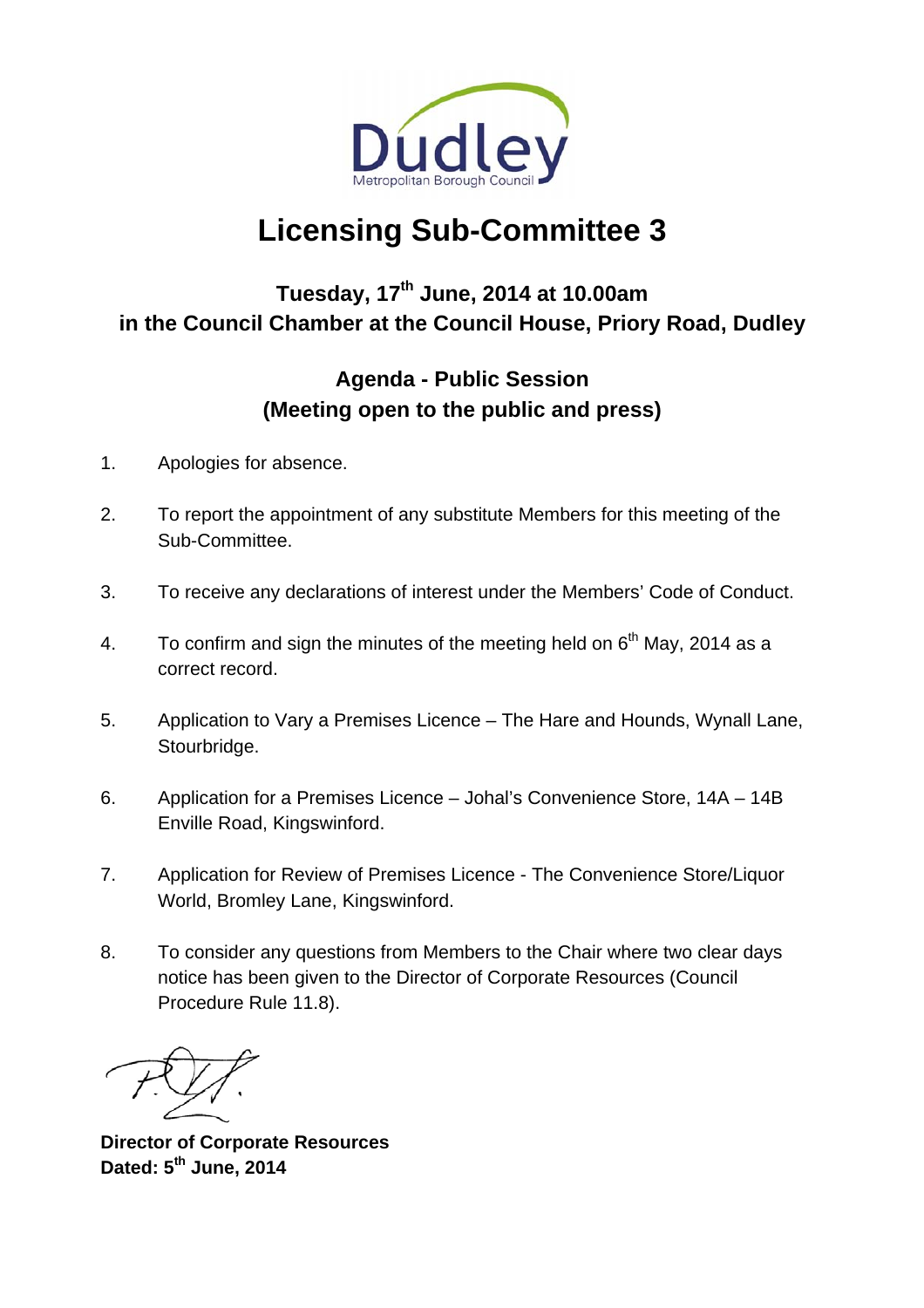

# **Licensing Sub-Committee 3**

## **Tuesday, 17th June, 2014 at 10.00am in the Council Chamber at the Council House, Priory Road, Dudley**

## **Agenda - Public Session (Meeting open to the public and press)**

- 1. Apologies for absence.
- 2. To report the appointment of any substitute Members for this meeting of the Sub-Committee.
- 3. To receive any declarations of interest under the Members' Code of Conduct.
- 4. To confirm and sign the minutes of the meeting held on  $6<sup>th</sup>$  May, 2014 as a correct record.
- 5. Application to Vary a Premises Licence The Hare and Hounds, Wynall Lane, Stourbridge.
- 6. Application for a Premises Licence Johal's Convenience Store, 14A 14B Enville Road, Kingswinford.
- 7. Application for Review of Premises Licence The Convenience Store/Liquor World, Bromley Lane, Kingswinford.
- 8. To consider any questions from Members to the Chair where two clear days notice has been given to the Director of Corporate Resources (Council Procedure Rule 11.8).

**Director of Corporate Resources Dated: 5th June, 2014**